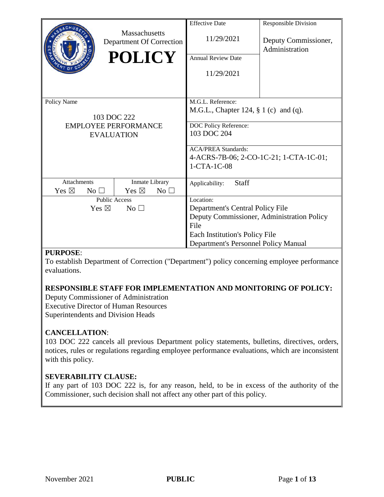|                                    |                 | Massachusetts               |                 | <b>Effective Date</b>                      | <b>Responsible Division</b>            |  |  |  |
|------------------------------------|-----------------|-----------------------------|-----------------|--------------------------------------------|----------------------------------------|--|--|--|
|                                    |                 | Department Of Correction    |                 | 11/29/2021                                 | Deputy Commissioner,<br>Administration |  |  |  |
|                                    |                 | <b>POLICY</b>               |                 | <b>Annual Review Date</b>                  |                                        |  |  |  |
|                                    |                 |                             |                 | 11/29/2021                                 |                                        |  |  |  |
|                                    |                 |                             |                 |                                            |                                        |  |  |  |
| Policy Name                        |                 |                             |                 | M.G.L. Reference:                          |                                        |  |  |  |
|                                    |                 | 103 DOC 222                 |                 | M.G.L., Chapter 124, $\S 1$ (c) and (q).   |                                        |  |  |  |
|                                    |                 | <b>EMPLOYEE PERFORMANCE</b> |                 | DOC Policy Reference:                      |                                        |  |  |  |
|                                    |                 | <b>EVALUATION</b>           |                 | 103 DOC 204                                |                                        |  |  |  |
|                                    |                 |                             |                 | <b>ACA/PREA Standards:</b>                 |                                        |  |  |  |
|                                    |                 |                             |                 | 4-ACRS-7B-06; 2-CO-1C-21; 1-CTA-1C-01;     |                                        |  |  |  |
|                                    |                 |                             |                 | 1-CTA-1C-08                                |                                        |  |  |  |
| <b>Attachments</b>                 |                 | Inmate Library              |                 | <b>Staff</b><br>Applicability:             |                                        |  |  |  |
| Yes $\boxtimes$                    | No <sub>1</sub> | Yes $\boxtimes$             | No <sub>1</sub> |                                            |                                        |  |  |  |
| <b>Public Access</b>               |                 |                             |                 | Location:                                  |                                        |  |  |  |
| Yes $\boxtimes$<br>No <sub>1</sub> |                 |                             |                 | Department's Central Policy File           |                                        |  |  |  |
|                                    |                 |                             |                 | Deputy Commissioner, Administration Policy |                                        |  |  |  |
|                                    |                 |                             |                 | File                                       |                                        |  |  |  |
|                                    |                 |                             |                 | Each Institution's Policy File             |                                        |  |  |  |
|                                    |                 |                             |                 | Department's Personnel Policy Manual       |                                        |  |  |  |

#### **PURPOSE**:

To establish Department of Correction ("Department") policy concerning employee performance evaluations.

## **RESPONSIBLE STAFF FOR IMPLEMENTATION AND MONITORING OF POLICY:**

Deputy Commissioner of Administration Executive Director of Human Resources Superintendents and Division Heads

#### **CANCELLATION**:

103 DOC 222 cancels all previous Department policy statements, bulletins, directives, orders, notices, rules or regulations regarding employee performance evaluations, which are inconsistent with this policy.

## **SEVERABILITY CLAUSE:**

If any part of 103 DOC 222 is, for any reason, held, to be in excess of the authority of the Commissioner, such decision shall not affect any other part of this policy.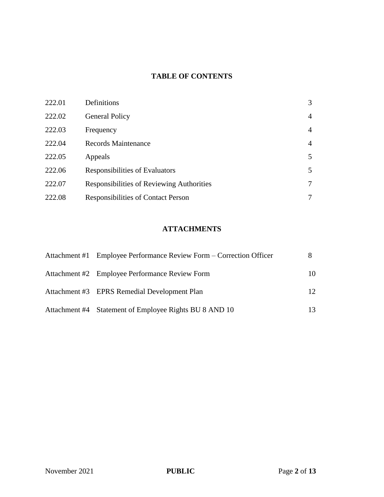## **TABLE OF CONTENTS**

| 222.01 | Definitions                               | 3              |
|--------|-------------------------------------------|----------------|
| 222.02 | <b>General Policy</b>                     | 4              |
| 222.03 | Frequency                                 | $\overline{4}$ |
| 222.04 | <b>Records Maintenance</b>                | $\overline{4}$ |
| 222.05 | Appeals                                   | 5              |
| 222.06 | Responsibilities of Evaluators            | 5              |
| 222.07 | Responsibilities of Reviewing Authorities | 7              |
| 222.08 | <b>Responsibilities of Contact Person</b> | 7              |

## **ATTACHMENTS**

| Attachment #1 Employee Performance Review Form – Correction Officer |    |
|---------------------------------------------------------------------|----|
| Attachment #2 Employee Performance Review Form                      | 10 |
| Attachment #3 EPRS Remedial Development Plan                        | 12 |
| Attachment #4 Statement of Employee Rights BU 8 AND 10              |    |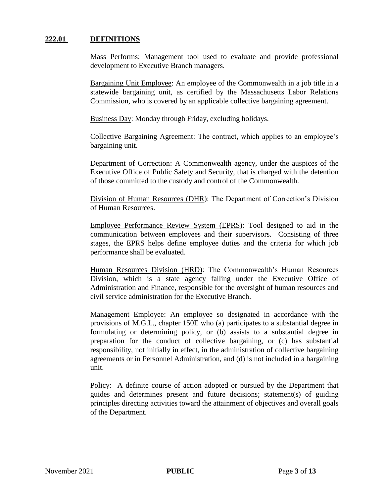#### **222.01 DEFINITIONS**

Mass Performs: Management tool used to evaluate and provide professional development to Executive Branch managers.

Bargaining Unit Employee: An employee of the Commonwealth in a job title in a statewide bargaining unit, as certified by the Massachusetts Labor Relations Commission, who is covered by an applicable collective bargaining agreement.

Business Day: Monday through Friday, excluding holidays.

Collective Bargaining Agreement: The contract, which applies to an employee's bargaining unit.

Department of Correction: A Commonwealth agency, under the auspices of the Executive Office of Public Safety and Security, that is charged with the detention of those committed to the custody and control of the Commonwealth.

Division of Human Resources (DHR): The Department of Correction's Division of Human Resources.

Employee Performance Review System (EPRS): Tool designed to aid in the communication between employees and their supervisors. Consisting of three stages, the EPRS helps define employee duties and the criteria for which job performance shall be evaluated.

Human Resources Division (HRD): The Commonwealth's Human Resources Division, which is a state agency falling under the Executive Office of Administration and Finance, responsible for the oversight of human resources and civil service administration for the Executive Branch.

Management Employee: An employee so designated in accordance with the provisions of M.G.L., chapter 150E who (a) participates to a substantial degree in formulating or determining policy, or (b) assists to a substantial degree in preparation for the conduct of collective bargaining, or (c) has substantial responsibility, not initially in effect, in the administration of collective bargaining agreements or in Personnel Administration, and (d) is not included in a bargaining unit.

Policy: A definite course of action adopted or pursued by the Department that guides and determines present and future decisions; statement(s) of guiding principles directing activities toward the attainment of objectives and overall goals of the Department.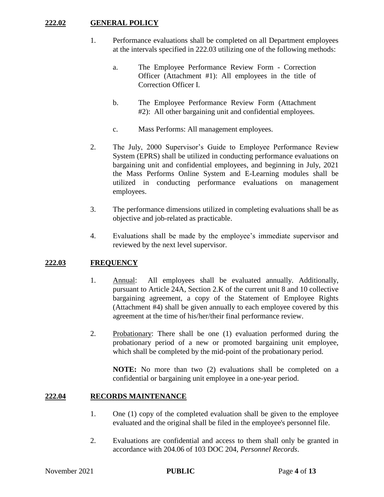#### **222.02 GENERAL POLICY**

- 1. Performance evaluations shall be completed on all Department employees at the intervals specified in 222.03 utilizing one of the following methods:
	- a. The Employee Performance Review Form Correction Officer (Attachment #1): All employees in the title of Correction Officer I.
	- b. The Employee Performance Review Form (Attachment #2): All other bargaining unit and confidential employees.
	- c. Mass Performs: All management employees.
- 2. The July, 2000 Supervisor's Guide to Employee Performance Review System (EPRS) shall be utilized in conducting performance evaluations on bargaining unit and confidential employees, and beginning in July, 2021 the Mass Performs Online System and E-Learning modules shall be utilized in conducting performance evaluations on management employees.
- 3. The performance dimensions utilized in completing evaluations shall be as objective and job-related as practicable.
- 4. Evaluations shall be made by the employee's immediate supervisor and reviewed by the next level supervisor.

#### **222.03 FREQUENCY**

- 1. Annual: All employees shall be evaluated annually. Additionally, pursuant to Article 24A, Section 2.K of the current unit 8 and 10 collective bargaining agreement, a copy of the Statement of Employee Rights (Attachment #4) shall be given annually to each employee covered by this agreement at the time of his/her/their final performance review.
- 2. Probationary: There shall be one (1) evaluation performed during the probationary period of a new or promoted bargaining unit employee, which shall be completed by the mid-point of the probationary period.

**NOTE:** No more than two (2) evaluations shall be completed on a confidential or bargaining unit employee in a one-year period.

#### **222.04 RECORDS MAINTENANCE**

- 1. One (1) copy of the completed evaluation shall be given to the employee evaluated and the original shall be filed in the employee's personnel file.
- 2. Evaluations are confidential and access to them shall only be granted in accordance with 204.06 of 103 DOC 204, *Personnel Records*.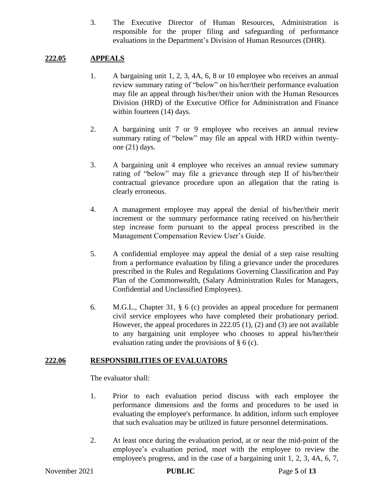3. The Executive Director of Human Resources, Administration is responsible for the proper filing and safeguarding of performance evaluations in the Department's Division of Human Resources (DHR).

## **222.05 APPEALS**

- 1. A bargaining unit 1, 2, 3, 4A, 6, 8 or 10 employee who receives an annual review summary rating of "below" on his/her/their performance evaluation may file an appeal through his/her/their union with the Human Resources Division (HRD) of the Executive Office for Administration and Finance within fourteen  $(14)$  days.
- 2. A bargaining unit 7 or 9 employee who receives an annual review summary rating of "below" may file an appeal with HRD within twentyone (21) days.
- 3. A bargaining unit 4 employee who receives an annual review summary rating of "below" may file a grievance through step II of his/her/their contractual grievance procedure upon an allegation that the rating is clearly erroneous.
- 4. A management employee may appeal the denial of his/her/their merit increment or the summary performance rating received on his/her/their step increase form pursuant to the appeal process prescribed in the Management Compensation Review User's Guide.
- 5. A confidential employee may appeal the denial of a step raise resulting from a performance evaluation by filing a grievance under the procedures prescribed in the Rules and Regulations Governing Classification and Pay Plan of the Commonwealth, (Salary Administration Rules for Managers, Confidential and Unclassified Employees).
- 6. M.G.L., Chapter 31, § 6 (c) provides an appeal procedure for permanent civil service employees who have completed their probationary period. However, the appeal procedures in 222.05 (1), (2) and (3) are not available to any bargaining unit employee who chooses to appeal his/her/their evaluation rating under the provisions of § 6 (c).

## **222.06 RESPONSIBILITIES OF EVALUATORS**

The evaluator shall:

- 1. Prior to each evaluation period discuss with each employee the performance dimensions and the forms and procedures to be used in evaluating the employee's performance. In addition, inform such employee that such evaluation may be utilized in future personnel determinations.
- 2. At least once during the evaluation period, at or near the mid-point of the employee's evaluation period, meet with the employee to review the employee's progress, and in the case of a bargaining unit 1, 2, 3, 4A, 6, 7,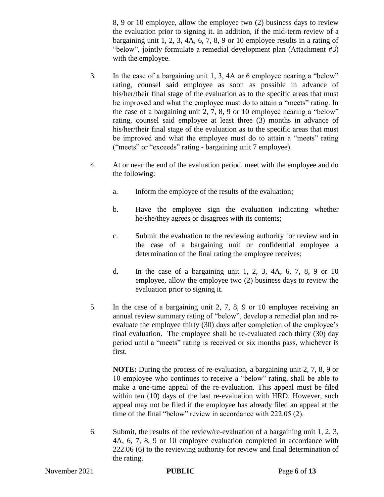8, 9 or 10 employee, allow the employee two (2) business days to review the evaluation prior to signing it. In addition, if the mid-term review of a bargaining unit 1, 2, 3, 4A, 6, 7, 8, 9 or 10 employee results in a rating of "below", jointly formulate a remedial development plan (Attachment #3) with the employee.

- 3. In the case of a bargaining unit 1, 3, 4A or 6 employee nearing a "below" rating, counsel said employee as soon as possible in advance of his/her/their final stage of the evaluation as to the specific areas that must be improved and what the employee must do to attain a "meets" rating. In the case of a bargaining unit 2, 7, 8, 9 or 10 employee nearing a "below" rating, counsel said employee at least three (3) months in advance of his/her/their final stage of the evaluation as to the specific areas that must be improved and what the employee must do to attain a "meets" rating ("meets" or "exceeds" rating - bargaining unit 7 employee).
- 4. At or near the end of the evaluation period, meet with the employee and do the following:
	- a. Inform the employee of the results of the evaluation;
	- b. Have the employee sign the evaluation indicating whether he/she/they agrees or disagrees with its contents;
	- c. Submit the evaluation to the reviewing authority for review and in the case of a bargaining unit or confidential employee a determination of the final rating the employee receives;
	- d. In the case of a bargaining unit 1, 2, 3, 4A, 6, 7, 8, 9 or 10 employee, allow the employee two (2) business days to review the evaluation prior to signing it.
- 5. In the case of a bargaining unit 2, 7, 8, 9 or 10 employee receiving an annual review summary rating of "below", develop a remedial plan and reevaluate the employee thirty (30) days after completion of the employee's final evaluation. The employee shall be re-evaluated each thirty (30) day period until a "meets" rating is received or six months pass, whichever is first.

**NOTE:** During the process of re-evaluation, a bargaining unit 2, 7, 8, 9 or 10 employee who continues to receive a "below" rating, shall be able to make a one-time appeal of the re-evaluation. This appeal must be filed within ten (10) days of the last re-evaluation with HRD. However, such appeal may not be filed if the employee has already filed an appeal at the time of the final "below" review in accordance with 222.05 (2).

6. Submit, the results of the review/re-evaluation of a bargaining unit 1, 2, 3, 4A, 6, 7, 8, 9 or 10 employee evaluation completed in accordance with 222.06 (6) to the reviewing authority for review and final determination of the rating.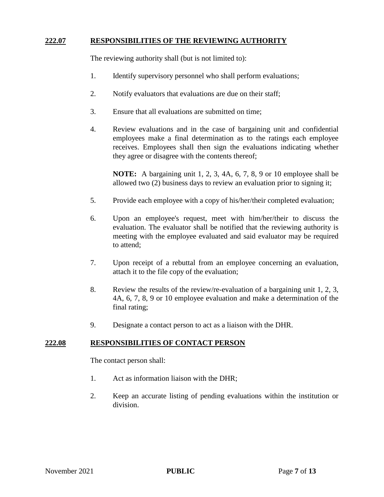#### **222.07 RESPONSIBILITIES OF THE REVIEWING AUTHORITY**

The reviewing authority shall (but is not limited to):

- 1. Identify supervisory personnel who shall perform evaluations;
- 2. Notify evaluators that evaluations are due on their staff;
- 3. Ensure that all evaluations are submitted on time;
- 4. Review evaluations and in the case of bargaining unit and confidential employees make a final determination as to the ratings each employee receives. Employees shall then sign the evaluations indicating whether they agree or disagree with the contents thereof;

**NOTE:** A bargaining unit 1, 2, 3, 4A, 6, 7, 8, 9 or 10 employee shall be allowed two (2) business days to review an evaluation prior to signing it;

- 5. Provide each employee with a copy of his/her/their completed evaluation;
- 6. Upon an employee's request, meet with him/her/their to discuss the evaluation. The evaluator shall be notified that the reviewing authority is meeting with the employee evaluated and said evaluator may be required to attend;
- 7. Upon receipt of a rebuttal from an employee concerning an evaluation, attach it to the file copy of the evaluation;
- 8. Review the results of the review/re-evaluation of a bargaining unit 1, 2, 3, 4A, 6, 7, 8, 9 or 10 employee evaluation and make a determination of the final rating;
- 9. Designate a contact person to act as a liaison with the DHR.

#### **222.08 RESPONSIBILITIES OF CONTACT PERSON**

The contact person shall:

- 1. Act as information liaison with the DHR;
- 2. Keep an accurate listing of pending evaluations within the institution or division.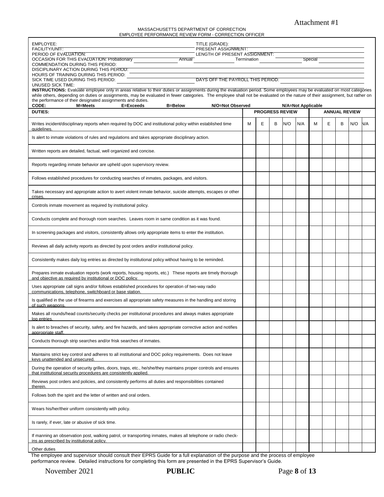#### Attachment #1

MASSACHUSETTS DEPARTMENT OF CORRECTION EMPLOYEE PERFORMANCE REVIEW FORM - CORRECTION OFFICER

| TITLE (GRADE):<br>EMPLOYEE:<br><b>FACILITY/UNIT:</b><br>PRESENT ASSIGNMENT:                                                                                                                                                                                                                                                                            |   |   |   |                        |                    |   |   |                      |     |            |
|--------------------------------------------------------------------------------------------------------------------------------------------------------------------------------------------------------------------------------------------------------------------------------------------------------------------------------------------------------|---|---|---|------------------------|--------------------|---|---|----------------------|-----|------------|
| PERIOD OF EVALUATION:<br>LENGTH OF PRESENT ASSIGNMENT:                                                                                                                                                                                                                                                                                                 |   |   |   |                        |                    |   |   |                      |     |            |
| Special<br><b>OCCASION FOR THIS EVALUATION: Probationary</b><br>Annual<br>Termination<br><b>COMMENDATION DURING THIS PERIOD:</b>                                                                                                                                                                                                                       |   |   |   |                        |                    |   |   |                      |     |            |
| DISCIPLINARY ACTION DURING THIS PERIOD:                                                                                                                                                                                                                                                                                                                |   |   |   |                        |                    |   |   |                      |     |            |
| HOURS OF TRAINING DURING THIS PERIOD:<br>DAYS OFF THE PAYROLL THIS PERIOD:<br>SICK TIME USED DURING THIS PERIOD:                                                                                                                                                                                                                                       |   |   |   |                        |                    |   |   |                      |     |            |
| UNUSED SICK TIME:                                                                                                                                                                                                                                                                                                                                      |   |   |   |                        |                    |   |   |                      |     |            |
| INSTRUCTIONS: Evaluate employee only in areas relative to their duties or assignments during the evaluation period. Some employees may be evaluated on most categories<br>while others, depending on duties or assignments, may be evaluated in fewer categories. The employee shall not be evaluated on the nature of their assignment, but rather on |   |   |   |                        |                    |   |   |                      |     |            |
| the performance of their designated assignments and duties.                                                                                                                                                                                                                                                                                            |   |   |   |                        |                    |   |   |                      |     |            |
| CODE:<br><b>B=Below</b><br>N/O=Not Observed<br>M=Meets<br>E=Exceeds<br><b>DUTIES:</b>                                                                                                                                                                                                                                                                  |   |   |   | <b>PROGRESS REVIEW</b> | N/A=Not Applicable |   |   | <b>ANNUAL REVIEW</b> |     |            |
|                                                                                                                                                                                                                                                                                                                                                        |   |   |   |                        |                    |   |   |                      |     |            |
| Writes incident/disciplinary reports when required by DOC and institutional policy within established time<br>quidelines                                                                                                                                                                                                                               | м | Е | B | N/O                    | N/A                | м | E | в                    | N/O | <b>N/A</b> |
| Is alert to inmate violations of rules and regulations and takes appropriate disciplinary action.                                                                                                                                                                                                                                                      |   |   |   |                        |                    |   |   |                      |     |            |
| Written reports are detailed, factual, well organized and concise.                                                                                                                                                                                                                                                                                     |   |   |   |                        |                    |   |   |                      |     |            |
| Reports regarding inmate behavior are upheld upon supervisory review.                                                                                                                                                                                                                                                                                  |   |   |   |                        |                    |   |   |                      |     |            |
| Follows established procedures for conducting searches of inmates, packages, and visitors.                                                                                                                                                                                                                                                             |   |   |   |                        |                    |   |   |                      |     |            |
| Takes necessary and appropriate action to avert violent inmate behavior, suicide attempts, escapes or other<br>crises                                                                                                                                                                                                                                  |   |   |   |                        |                    |   |   |                      |     |            |
| Controls inmate movement as required by institutional policy.                                                                                                                                                                                                                                                                                          |   |   |   |                        |                    |   |   |                      |     |            |
| Conducts complete and thorough room searches. Leaves room in same condition as it was found.                                                                                                                                                                                                                                                           |   |   |   |                        |                    |   |   |                      |     |            |
| In screening packages and visitors, consistently allows only appropriate items to enter the institution.                                                                                                                                                                                                                                               |   |   |   |                        |                    |   |   |                      |     |            |
| Reviews all daily activity reports as directed by post orders and/or institutional policy.                                                                                                                                                                                                                                                             |   |   |   |                        |                    |   |   |                      |     |            |
| Consistently makes daily log entries as directed by institutional policy without having to be reminded.                                                                                                                                                                                                                                                |   |   |   |                        |                    |   |   |                      |     |            |
| Prepares inmate evaluation reports (work reports, housing reports, etc.) These reports are timely thorough<br>and objective as required by institutional or DOC policy.                                                                                                                                                                                |   |   |   |                        |                    |   |   |                      |     |            |
| Uses appropriate call signs and/or follows established procedures for operation of two-way radio<br>communications, telephone, switchboard or base station.                                                                                                                                                                                            |   |   |   |                        |                    |   |   |                      |     |            |
| Is qualified in the use of firearms and exercises all appropriate safety measures in the handling and storing<br>of such weapons.                                                                                                                                                                                                                      |   |   |   |                        |                    |   |   |                      |     |            |
| Makes all rounds/head counts/security checks per institutional procedures and always makes appropriate<br>log entries.                                                                                                                                                                                                                                 |   |   |   |                        |                    |   |   |                      |     |            |
| Is alert to breaches of security, safety, and fire hazards, and takes appropriate corrective action and notifies<br>appropriate staff.                                                                                                                                                                                                                 |   |   |   |                        |                    |   |   |                      |     |            |
| Conducts thorough strip searches and/or frisk searches of inmates.                                                                                                                                                                                                                                                                                     |   |   |   |                        |                    |   |   |                      |     |            |
| Maintains strict key control and adheres to all institutional and DOC policy requirements. Does not leave<br>kevs unattended and unsecured                                                                                                                                                                                                             |   |   |   |                        |                    |   |   |                      |     |            |
| During the operation of security grilles, doors, traps, etc., he/she/they maintains proper controls and ensures<br>that institutional security procedures are consistently applied.                                                                                                                                                                    |   |   |   |                        |                    |   |   |                      |     |            |
| Reviews post orders and policies, and consistently performs all duties and responsibilities contained<br>therein.                                                                                                                                                                                                                                      |   |   |   |                        |                    |   |   |                      |     |            |
| Follows both the spirit and the letter of written and oral orders.                                                                                                                                                                                                                                                                                     |   |   |   |                        |                    |   |   |                      |     |            |
| Wears his/her/their uniform consistently with policy.                                                                                                                                                                                                                                                                                                  |   |   |   |                        |                    |   |   |                      |     |            |
| Is rarely, if ever, late or abusive of sick time.                                                                                                                                                                                                                                                                                                      |   |   |   |                        |                    |   |   |                      |     |            |
| If manning an observation post, walking patrol, or transporting inmates, makes all telephone or radio check-<br>ins as prescribed by institutional policy.                                                                                                                                                                                             |   |   |   |                        |                    |   |   |                      |     |            |
| Other duties                                                                                                                                                                                                                                                                                                                                           |   |   |   |                        |                    |   |   |                      |     |            |

The employee and supervisor should consult their EPRS Guide for a full explanation of the purpose and the process of employee performance review. Detailed instructions for completing this form are presented in the EPRS Supervisor's Guide.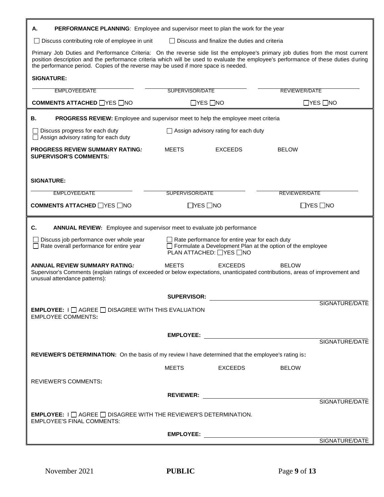| <b>PERFORMANCE PLANNING:</b> Employee and supervisor meet to plan the work for the year<br>А.                                                                                                                                                                                                                                                             |                                                                                                                                                                                                  |                                             |                      |                      |  |  |  |  |
|-----------------------------------------------------------------------------------------------------------------------------------------------------------------------------------------------------------------------------------------------------------------------------------------------------------------------------------------------------------|--------------------------------------------------------------------------------------------------------------------------------------------------------------------------------------------------|---------------------------------------------|----------------------|----------------------|--|--|--|--|
| $\Box$ Discuss and finalize the duties and criteria<br>$\Box$ Discuss contributing role of employee in unit                                                                                                                                                                                                                                               |                                                                                                                                                                                                  |                                             |                      |                      |  |  |  |  |
| Primary Job Duties and Performance Criteria: On the reverse side list the employee's primary job duties from the most current<br>position description and the performance criteria which will be used to evaluate the employee's performance of these duties during<br>the performance period. Copies of the reverse may be used if more space is needed. |                                                                                                                                                                                                  |                                             |                      |                      |  |  |  |  |
| <b>SIGNATURE:</b>                                                                                                                                                                                                                                                                                                                                         |                                                                                                                                                                                                  |                                             |                      |                      |  |  |  |  |
| SUPERVISOR/DATE<br><b>REVIEWER/DATE</b><br><b>EMPLOYEE/DATE</b>                                                                                                                                                                                                                                                                                           |                                                                                                                                                                                                  |                                             |                      |                      |  |  |  |  |
| <b>COMMENTS ATTACHED</b> □YES □NO                                                                                                                                                                                                                                                                                                                         | $\Box$ YES $\Box$ NO                                                                                                                                                                             |                                             | $\Box$ YES $\Box$ NO |                      |  |  |  |  |
| PROGRESS REVIEW: Employee and supervisor meet to help the employee meet criteria<br>В.                                                                                                                                                                                                                                                                    |                                                                                                                                                                                                  |                                             |                      |                      |  |  |  |  |
| $\Box$ Discuss progress for each duty<br>$\Box$ Assign advisory rating for each duty                                                                                                                                                                                                                                                                      |                                                                                                                                                                                                  | $\Box$ Assign advisory rating for each duty |                      |                      |  |  |  |  |
| <b>PROGRESS REVIEW SUMMARY RATING:</b><br><b>SUPERVISOR'S COMMENTS:</b>                                                                                                                                                                                                                                                                                   | <b>MEETS</b>                                                                                                                                                                                     | <b>EXCEEDS</b>                              | <b>BELOW</b>         |                      |  |  |  |  |
|                                                                                                                                                                                                                                                                                                                                                           |                                                                                                                                                                                                  |                                             |                      |                      |  |  |  |  |
| <b>SIGNATURE:</b>                                                                                                                                                                                                                                                                                                                                         |                                                                                                                                                                                                  |                                             |                      |                      |  |  |  |  |
| <b>EMPLOYEE/DATE</b>                                                                                                                                                                                                                                                                                                                                      | SUPERVISOR/DATE                                                                                                                                                                                  |                                             | <b>REVIEWER/DATE</b> |                      |  |  |  |  |
| <b>COMMENTS ATTACHED □YES □NO</b>                                                                                                                                                                                                                                                                                                                         | $\Box$ YES $\Box$ NO                                                                                                                                                                             |                                             |                      | $\Box$ YES $\Box$ NO |  |  |  |  |
|                                                                                                                                                                                                                                                                                                                                                           |                                                                                                                                                                                                  |                                             |                      |                      |  |  |  |  |
| C.<br><b>ANNUAL REVIEW:</b> Employee and supervisor meet to evaluate job performance                                                                                                                                                                                                                                                                      |                                                                                                                                                                                                  |                                             |                      |                      |  |  |  |  |
| $\Box$ Rate overall performance for entire year                                                                                                                                                                                                                                                                                                           | $\Box$ Rate performance for entire year for each duty<br>Discuss job performance over whole year<br>$\Box$ Formulate a Development Plan at the option of the employee<br>PLAN ATTACHED: □YES □NO |                                             |                      |                      |  |  |  |  |
| <b>ANNUAL REVIEW SUMMARY RATING:</b><br><b>MEETS</b><br><b>EXCEEDS</b><br><b>BELOW</b><br>Supervisor's Comments (explain ratings of exceeded or below expectations, unanticipated contributions, areas of improvement and<br>unusual attendance patterns):                                                                                                |                                                                                                                                                                                                  |                                             |                      |                      |  |  |  |  |
|                                                                                                                                                                                                                                                                                                                                                           | <b>SUPERVISOR:</b>                                                                                                                                                                               |                                             |                      |                      |  |  |  |  |
| <b>EMPLOYEE:</b> $I \square$ AGREE $\square$ DISAGREE WITH THIS EVALUATION<br><b>EMPLOYEE COMMENTS:</b>                                                                                                                                                                                                                                                   |                                                                                                                                                                                                  |                                             |                      | SIGNATURE/DATE       |  |  |  |  |
|                                                                                                                                                                                                                                                                                                                                                           |                                                                                                                                                                                                  |                                             |                      |                      |  |  |  |  |
|                                                                                                                                                                                                                                                                                                                                                           |                                                                                                                                                                                                  |                                             |                      | SIGNATURE/DATE       |  |  |  |  |
| REVIEWER'S DETERMINATION: On the basis of my review I have determined that the employee's rating is:                                                                                                                                                                                                                                                      |                                                                                                                                                                                                  |                                             |                      |                      |  |  |  |  |
|                                                                                                                                                                                                                                                                                                                                                           | <b>MEETS</b>                                                                                                                                                                                     | EXCEEDS                                     | <b>BELOW</b>         |                      |  |  |  |  |
| <b>REVIEWER'S COMMENTS:</b>                                                                                                                                                                                                                                                                                                                               |                                                                                                                                                                                                  |                                             |                      |                      |  |  |  |  |
|                                                                                                                                                                                                                                                                                                                                                           |                                                                                                                                                                                                  |                                             |                      |                      |  |  |  |  |
|                                                                                                                                                                                                                                                                                                                                                           |                                                                                                                                                                                                  |                                             |                      | SIGNATURE/DATE       |  |  |  |  |
| <b>EMPLOYEE:</b> $\Box$ AGREE $\Box$ DISAGREE WITH THE REVIEWER'S DETERMINATION.<br><b>EMPLOYEE'S FINAL COMMENTS:</b>                                                                                                                                                                                                                                     |                                                                                                                                                                                                  |                                             |                      |                      |  |  |  |  |
|                                                                                                                                                                                                                                                                                                                                                           |                                                                                                                                                                                                  |                                             |                      |                      |  |  |  |  |
|                                                                                                                                                                                                                                                                                                                                                           |                                                                                                                                                                                                  |                                             |                      | SIGNATURE/DATE       |  |  |  |  |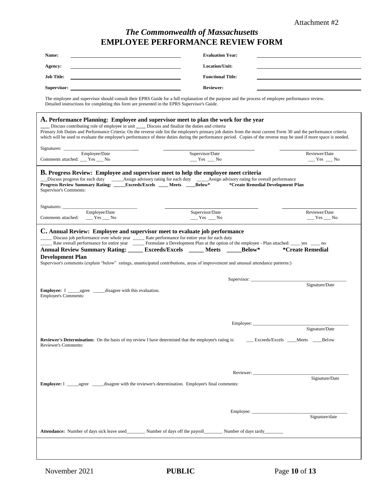# *The Commonwealth of Massachusetts* **EMPLOYEE PERFORMANCE REVIEW FORM**

| Name:                                                                                                                                                                                                                                                                                                                                                                                                                                                                                                                               | <b>Evaluation Year:</b>                                          |
|-------------------------------------------------------------------------------------------------------------------------------------------------------------------------------------------------------------------------------------------------------------------------------------------------------------------------------------------------------------------------------------------------------------------------------------------------------------------------------------------------------------------------------------|------------------------------------------------------------------|
| Agency:                                                                                                                                                                                                                                                                                                                                                                                                                                                                                                                             | Location/Unit:                                                   |
| <b>Job Title:</b>                                                                                                                                                                                                                                                                                                                                                                                                                                                                                                                   | <b>Functional Title:</b>                                         |
| Supervisor: __                                                                                                                                                                                                                                                                                                                                                                                                                                                                                                                      | Reviewer:                                                        |
| The employee and supervisor should consult their EPRS Guide for a full explanation of the purpose and the process of employee performance review.<br>Detailed instructions for completing this form are presented in the EPRS Supervisor's Guide.                                                                                                                                                                                                                                                                                   |                                                                  |
| A. Performance Planning: Employee and supervisor meet to plan the work for the year<br>Discuss contributing role of employee in unit ____ Discuss and finalize the duties and criteria<br>Primary Job Duties and Performance Criteria: On the reverse side list the employee's primary job duties from the most current Form 30 and the performance criteria<br>which will be used to evaluate the employee's performance of these duties during the performance period. Copies of the reverse may be used if more space is needed. |                                                                  |
| Employee/Date                                                                                                                                                                                                                                                                                                                                                                                                                                                                                                                       | Supervisor/Date<br>Reviewer/Date                                 |
| Comments attached: ___ Yes ___ No                                                                                                                                                                                                                                                                                                                                                                                                                                                                                                   | $Yes$ $No$<br>$Yes$ No                                           |
| <b>B.</b> Progress Review: Employee and supervisor meet to help the employee meet criteria<br>Discuss progress for each duty _____Assign advisory rating for each duty _____Assign advisory rating for overall performance<br>Progress Review Summary Rating: _____Exceeds/Excels ____ Meets ____Below*<br>Supervisor's Comments:                                                                                                                                                                                                   | *Create Remedial Development Plan                                |
| Employee/Date<br>Comments attached:<br>$Yes$ No                                                                                                                                                                                                                                                                                                                                                                                                                                                                                     | Supervisor/Date<br>Reviewer/Date<br>$Y$ es $\_\_$ No<br>$Yes$ No |
|                                                                                                                                                                                                                                                                                                                                                                                                                                                                                                                                     |                                                                  |
| Discuss job performance over whole year _____ Rate performance for entire year for each duty<br><b>Annual Review Summary Rating: _____ Exceeds/Excels _____ Meets</b><br><b>Development Plan</b><br>Supervisor's comments (explain "below" ratings, unanticipated contributions, areas of improvement and unusual attendance patterns:)                                                                                                                                                                                             | Below*<br><i><b>*Create Remedial</b></i><br>Signature/Date       |
| <b>Employee's Comments:</b>                                                                                                                                                                                                                                                                                                                                                                                                                                                                                                         |                                                                  |
|                                                                                                                                                                                                                                                                                                                                                                                                                                                                                                                                     | Signature/Date                                                   |
| <b>Reviewer's Determination:</b> On the basis of my review I have determined that the employee's rating is:<br>Reviewer's Comments:                                                                                                                                                                                                                                                                                                                                                                                                 | __ Exceeds/Excels ___ Meets ___ Below                            |
|                                                                                                                                                                                                                                                                                                                                                                                                                                                                                                                                     | Signature/Date                                                   |
|                                                                                                                                                                                                                                                                                                                                                                                                                                                                                                                                     |                                                                  |
|                                                                                                                                                                                                                                                                                                                                                                                                                                                                                                                                     | Signature/date                                                   |
| <b>Attendance:</b> Number of days sick leave used__________ Number of days off the payroll_________ Number of days tardy________                                                                                                                                                                                                                                                                                                                                                                                                    |                                                                  |
|                                                                                                                                                                                                                                                                                                                                                                                                                                                                                                                                     |                                                                  |
|                                                                                                                                                                                                                                                                                                                                                                                                                                                                                                                                     |                                                                  |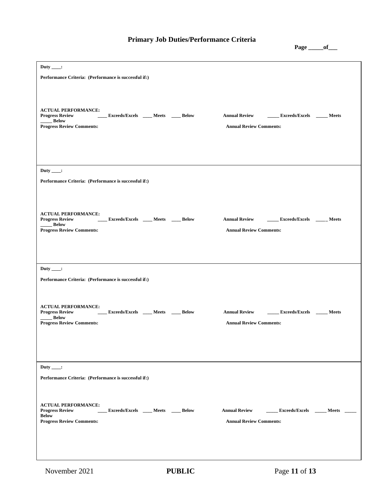# **Primary Job Duties/Performance Criteria**

**Page \_\_\_\_\_of\_\_\_**

| Duty ____:<br>Performance Criteria: (Performance is successful if:)                                                                                     |                                                                                        |
|---------------------------------------------------------------------------------------------------------------------------------------------------------|----------------------------------------------------------------------------------------|
| <b>ACTUAL PERFORMANCE:</b><br><b>Exceeds/Excels ____ Meets ____ Below</b><br><b>Progress Review</b><br>Below<br><b>Progress Review Comments:</b>        | Annual Review ________ Exceeds/Excels ______ Meets<br><b>Annual Review Comments:</b>   |
| Duty $\qquad$ :                                                                                                                                         |                                                                                        |
| Performance Criteria: (Performance is successful if:)                                                                                                   |                                                                                        |
| <b>ACTUAL PERFORMANCE:</b><br>Progress Review ______ Exceeds/Excels _____ Meets _____ Below<br>_____ Below<br><b>Progress Review Comments:</b>          | Annual Review ________ Exceeds/Excels _______ Meets<br><b>Annual Review Comments:</b>  |
| Duty ____:<br>Performance Criteria: (Performance is successful if:)                                                                                     |                                                                                        |
| <b>ACTUAL PERFORMANCE:</b><br><b>Exceeds/Excels</b> ____ Meets ____ Below<br><b>Progress Review</b><br><b>Below</b><br><b>Progress Review Comments:</b> | <b>Annual Review</b><br>Exceeds/Excels Meets<br><b>Annual Review Comments:</b>         |
| Duty $\qquad$ :                                                                                                                                         |                                                                                        |
| Performance Criteria: (Performance is successful if:)                                                                                                   |                                                                                        |
| <b>ACTUAL PERFORMANCE:</b><br>Exceeds/Excels ____ Meets ____ Below<br><b>Progress Review</b><br><b>Below</b><br><b>Progress Review Comments:</b>        | Exceeds/Excels _____ Meets _<br><b>Annual Review</b><br><b>Annual Review Comments:</b> |
|                                                                                                                                                         |                                                                                        |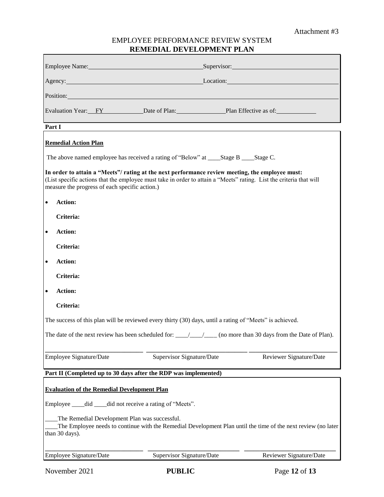## EMPLOYEE PERFORMANCE REVIEW SYSTEM **REMEDIAL DEVELOPMENT PLAN**

|                                                                                                                                                                                                                                                                          | Employee Name: Supervisor: Supervisor: Supervisor: Supervisor: Supervisor: Supervisor: Supervisor: Supervisor: Supervisor: Supervisor: Supervisor: Supervisor: Supervisor: Supervisor: Supervisor: Supervisor: Supervisor: Sup |  |                                                                                                                                    |                                                                                                                     |                         |  |  |
|--------------------------------------------------------------------------------------------------------------------------------------------------------------------------------------------------------------------------------------------------------------------------|--------------------------------------------------------------------------------------------------------------------------------------------------------------------------------------------------------------------------------|--|------------------------------------------------------------------------------------------------------------------------------------|---------------------------------------------------------------------------------------------------------------------|-------------------------|--|--|
|                                                                                                                                                                                                                                                                          | Agency: Location: Location: Location:                                                                                                                                                                                          |  |                                                                                                                                    |                                                                                                                     |                         |  |  |
|                                                                                                                                                                                                                                                                          |                                                                                                                                                                                                                                |  | Position: Position:                                                                                                                |                                                                                                                     |                         |  |  |
|                                                                                                                                                                                                                                                                          |                                                                                                                                                                                                                                |  | Evaluation Year: FY Date of Plan: Plan Effective as of:                                                                            | <u> 1989 - Johann Barn, mars ann an t-Amhain an t-Amhain an t-Amhain an t-Amhain an t-Amhain an t-Amhain an t-A</u> |                         |  |  |
| Part I                                                                                                                                                                                                                                                                   |                                                                                                                                                                                                                                |  |                                                                                                                                    |                                                                                                                     |                         |  |  |
|                                                                                                                                                                                                                                                                          | <b>Remedial Action Plan</b>                                                                                                                                                                                                    |  |                                                                                                                                    |                                                                                                                     |                         |  |  |
|                                                                                                                                                                                                                                                                          |                                                                                                                                                                                                                                |  | The above named employee has received a rating of "Below" at ____Stage B ____Stage C.                                              |                                                                                                                     |                         |  |  |
| In order to attain a "Meets"/ rating at the next performance review meeting, the employee must:<br>(List specific actions that the employee must take in order to attain a "Meets" rating. List the criteria that will<br>measure the progress of each specific action.) |                                                                                                                                                                                                                                |  |                                                                                                                                    |                                                                                                                     |                         |  |  |
| $\bullet$                                                                                                                                                                                                                                                                | Action:                                                                                                                                                                                                                        |  |                                                                                                                                    |                                                                                                                     |                         |  |  |
|                                                                                                                                                                                                                                                                          | Criteria:                                                                                                                                                                                                                      |  |                                                                                                                                    |                                                                                                                     |                         |  |  |
| $\bullet$                                                                                                                                                                                                                                                                | <b>Action:</b>                                                                                                                                                                                                                 |  |                                                                                                                                    |                                                                                                                     |                         |  |  |
|                                                                                                                                                                                                                                                                          | Criteria:                                                                                                                                                                                                                      |  |                                                                                                                                    |                                                                                                                     |                         |  |  |
| $\bullet$                                                                                                                                                                                                                                                                | Action:                                                                                                                                                                                                                        |  |                                                                                                                                    |                                                                                                                     |                         |  |  |
|                                                                                                                                                                                                                                                                          | Criteria:                                                                                                                                                                                                                      |  |                                                                                                                                    |                                                                                                                     |                         |  |  |
| $\bullet$                                                                                                                                                                                                                                                                | Action:                                                                                                                                                                                                                        |  |                                                                                                                                    |                                                                                                                     |                         |  |  |
|                                                                                                                                                                                                                                                                          | Criteria:                                                                                                                                                                                                                      |  |                                                                                                                                    |                                                                                                                     |                         |  |  |
|                                                                                                                                                                                                                                                                          |                                                                                                                                                                                                                                |  | The success of this plan will be reviewed every thirty (30) days, until a rating of "Meets" is achieved.                           |                                                                                                                     |                         |  |  |
|                                                                                                                                                                                                                                                                          |                                                                                                                                                                                                                                |  | The date of the next review has been scheduled for: $\frac{1}{\sqrt{1-\frac{1}{2}}}$ (no more than 30 days from the Date of Plan). |                                                                                                                     |                         |  |  |
|                                                                                                                                                                                                                                                                          | Employee Signature/Date                                                                                                                                                                                                        |  | Supervisor Signature/Date                                                                                                          |                                                                                                                     | Reviewer Signature/Date |  |  |
|                                                                                                                                                                                                                                                                          |                                                                                                                                                                                                                                |  | Part II (Completed up to 30 days after the RDP was implemented)                                                                    |                                                                                                                     |                         |  |  |
| <b>Evaluation of the Remedial Development Plan</b>                                                                                                                                                                                                                       |                                                                                                                                                                                                                                |  |                                                                                                                                    |                                                                                                                     |                         |  |  |
| Employee ____ did ____ did not receive a rating of "Meets".                                                                                                                                                                                                              |                                                                                                                                                                                                                                |  |                                                                                                                                    |                                                                                                                     |                         |  |  |
|                                                                                                                                                                                                                                                                          | The Remedial Development Plan was successful.<br>The Employee needs to continue with the Remedial Development Plan until the time of the next review (no later<br>than 30 days).                                               |  |                                                                                                                                    |                                                                                                                     |                         |  |  |
|                                                                                                                                                                                                                                                                          | Employee Signature/Date                                                                                                                                                                                                        |  | Supervisor Signature/Date                                                                                                          |                                                                                                                     | Reviewer Signature/Date |  |  |